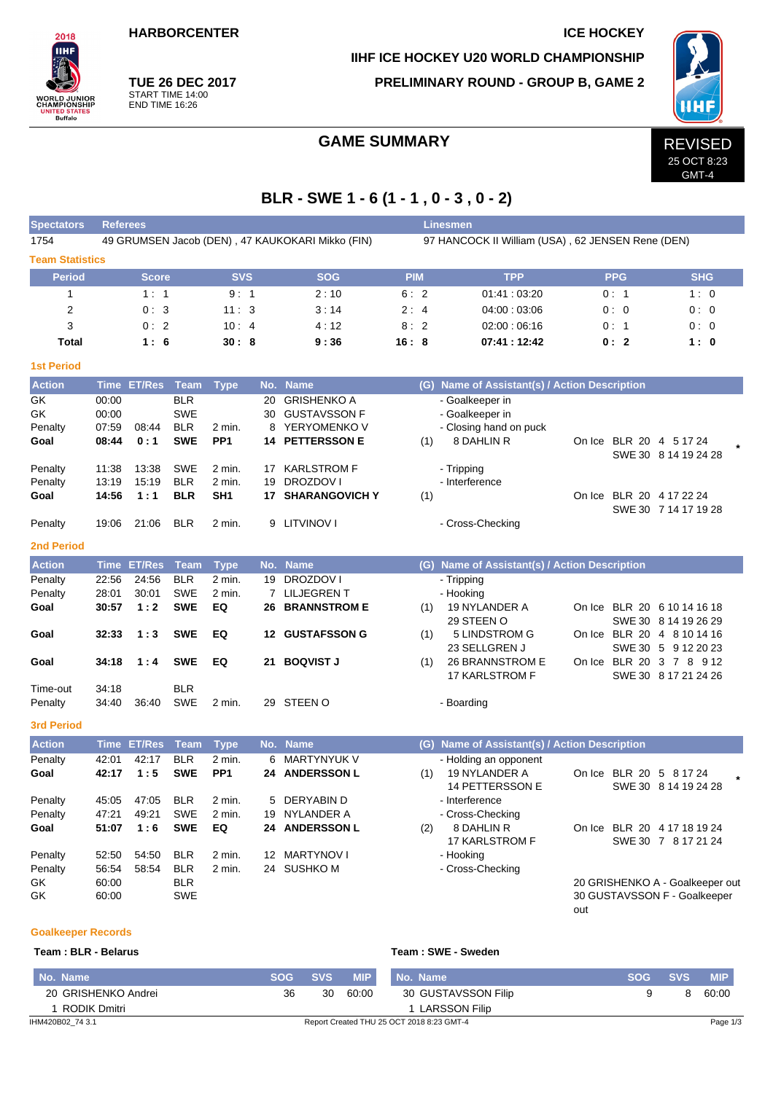**HARBORCENTER ICE HOCKEY** 

**TUE 26 DEC 2017** START TIME 14:00 END TIME 16:26

**IIHF ICE HOCKEY U20 WORLD CHAMPIONSHIP**

**PRELIMINARY ROUND - GROUP B, GAME 2**



GMT-4

# GAME SUMMARY **REVISED**

# **BLR - SWE 1 - 6 (1 - 1 , 0 - 3 , 0 - 2)**

| <b>Spectators</b>      | <b>Linesmen</b><br><b>Referees</b> |               |            |                 |     |                                                  |                                                   |                                               |               |  |                                 |  |  |  |  |  |
|------------------------|------------------------------------|---------------|------------|-----------------|-----|--------------------------------------------------|---------------------------------------------------|-----------------------------------------------|---------------|--|---------------------------------|--|--|--|--|--|
| 1754                   |                                    |               |            |                 |     | 49 GRUMSEN Jacob (DEN), 47 KAUKOKARI Mikko (FIN) | 97 HANCOCK II William (USA), 62 JENSEN Rene (DEN) |                                               |               |  |                                 |  |  |  |  |  |
| <b>Team Statistics</b> |                                    |               |            |                 |     |                                                  |                                                   |                                               |               |  |                                 |  |  |  |  |  |
| <b>Period</b>          |                                    | <b>Score</b>  |            | <b>SVS</b>      |     | <b>SOG</b>                                       | <b>PIM</b>                                        | <b>TPP</b>                                    | <b>PPG</b>    |  | <b>SHG</b>                      |  |  |  |  |  |
| $\mathbf 1$            |                                    | 1:1           |            | 9:1             |     | 2:10                                             | 6:2                                               | 01:41:03:20                                   | 0:1           |  | 1:0                             |  |  |  |  |  |
| $\overline{2}$         |                                    | 0:3           |            | 11:3            |     | 3:14                                             | 2:4                                               | 04:00:03:06                                   | 0:0           |  | 0:0                             |  |  |  |  |  |
| 3                      |                                    | 0:2           |            | 10:4            |     | 4:12                                             | 8:2                                               | 02:00:06:16                                   | 0:1           |  | 0:0                             |  |  |  |  |  |
| Total                  |                                    | 1:6           |            | 30:8            |     | 9:36                                             | 16:8                                              | 07:41:12:42                                   | 0:2           |  | 1:0                             |  |  |  |  |  |
| <b>1st Period</b>      |                                    |               |            |                 |     |                                                  |                                                   |                                               |               |  |                                 |  |  |  |  |  |
| <b>Action</b>          | Time                               | <b>ET/Res</b> | Team       | <b>Type</b>     | No. | <b>Name</b>                                      |                                                   | (G) Name of Assistant(s) / Action Description |               |  |                                 |  |  |  |  |  |
| GK                     | 00:00                              |               | <b>BLR</b> |                 | 20  | <b>GRISHENKO A</b>                               |                                                   | - Goalkeeper in                               |               |  |                                 |  |  |  |  |  |
| GK                     | 00:00                              |               | <b>SWE</b> |                 | 30  | <b>GUSTAVSSON F</b>                              |                                                   | - Goalkeeper in                               |               |  |                                 |  |  |  |  |  |
| Penalty                | 07:59                              | 08:44         | <b>BLR</b> | 2 min.          | 8   | YERYOMENKO V                                     |                                                   | - Closing hand on puck                        |               |  |                                 |  |  |  |  |  |
| Goal                   | 08:44                              | 0:1           | <b>SWE</b> | PP <sub>1</sub> |     | <b>14 PETTERSSON E</b>                           | (1)                                               | 8 DAHLIN R                                    |               |  | On Ice BLR 20 4 5 17 24         |  |  |  |  |  |
|                        |                                    |               |            |                 |     |                                                  |                                                   |                                               |               |  | SWE 30 8 14 19 24 28            |  |  |  |  |  |
| Penalty                | 11:38                              | 13:38         | <b>SWE</b> | 2 min.          | 17  | <b>KARLSTROM F</b>                               |                                                   | - Tripping                                    |               |  |                                 |  |  |  |  |  |
| Penalty                | 13:19                              | 15:19         | <b>BLR</b> | 2 min.          | 19  | DROZDOV I                                        |                                                   | - Interference                                |               |  |                                 |  |  |  |  |  |
| Goal                   | 14:56                              | 1:1           | BLR        | SH1             |     | <b>17 SHARANGOVICH Y</b>                         | (1)                                               |                                               |               |  | On Ice BLR 20 4 17 22 24        |  |  |  |  |  |
| Penalty                | 19:06                              | 21:06         | <b>BLR</b> | 2 min.          |     | 9 LITVINOV I                                     |                                                   | - Cross-Checking                              |               |  | SWE 30 7 14 17 19 28            |  |  |  |  |  |
| <b>2nd Period</b>      |                                    |               |            |                 |     |                                                  |                                                   |                                               |               |  |                                 |  |  |  |  |  |
| <b>Action</b>          |                                    | Time ET/Res   | Team       | <b>Type</b>     |     | No. Name                                         |                                                   | (G) Name of Assistant(s) / Action Description |               |  |                                 |  |  |  |  |  |
| Penalty                | 22:56                              | 24:56         | <b>BLR</b> | 2 min.          | 19  | DROZDOV I                                        |                                                   | - Tripping                                    |               |  |                                 |  |  |  |  |  |
| Penalty                | 28:01                              | 30:01         | <b>SWE</b> | 2 min.          |     | 7 LILJEGREN T                                    |                                                   | - Hooking                                     |               |  |                                 |  |  |  |  |  |
| Goal                   | 30:57                              | 1:2           | <b>SWE</b> | EQ              |     | <b>26 BRANNSTROM E</b>                           | (1)                                               | 19 NYLANDER A                                 |               |  | On Ice BLR 20 6 10 14 16 18     |  |  |  |  |  |
|                        |                                    |               |            |                 |     |                                                  |                                                   | 29 STEEN O                                    |               |  | SWE 30 8 14 19 26 29            |  |  |  |  |  |
| Goal                   | 32:33                              | 1:3           | <b>SWE</b> | EQ              |     | <b>12 GUSTAFSSON G</b>                           | (1)                                               | 5 LINDSTROM G                                 |               |  | On Ice BLR 20 4 8 10 14 16      |  |  |  |  |  |
|                        |                                    |               |            |                 |     |                                                  |                                                   | 23 SELLGREN J                                 |               |  | SWE 30 5 9 12 20 23             |  |  |  |  |  |
| Goal                   | 34:18                              | 1:4           | <b>SWE</b> | EQ              |     | 21 BOQVIST J                                     | (1)                                               | 26 BRANNSTROM E                               |               |  | On Ice BLR 20 3 7 8 9 12        |  |  |  |  |  |
|                        |                                    |               |            |                 |     |                                                  |                                                   | 17 KARLSTROM F                                |               |  | SWE 30 8 17 21 24 26            |  |  |  |  |  |
| Time-out               | 34:18                              |               | BLR        |                 |     |                                                  |                                                   |                                               |               |  |                                 |  |  |  |  |  |
| Penalty                | 34:40                              | 36:40         | <b>SWE</b> | 2 min.          |     | 29 STEEN O                                       |                                                   | - Boarding                                    |               |  |                                 |  |  |  |  |  |
| <b>3rd Period</b>      |                                    |               |            |                 |     |                                                  |                                                   |                                               |               |  |                                 |  |  |  |  |  |
| <b>Action</b>          |                                    | Time ET/Res   | Team       | <b>Type</b>     |     | No. Name                                         |                                                   | (G) Name of Assistant(s) / Action Description |               |  |                                 |  |  |  |  |  |
| Penalty                | 42:01                              | 42:17         | <b>BLR</b> | 2 min.          | 6   | <b>MARTYNYUK V</b>                               |                                                   | - Holding an opponent                         |               |  |                                 |  |  |  |  |  |
| Goal                   | 42:17                              | 1:5           | <b>SWE</b> | PP <sub>1</sub> | 24  | <b>ANDERSSON L</b>                               | (1)                                               | 19 NYLANDER A                                 | On Ice BLR 20 |  | 5 8 17 24                       |  |  |  |  |  |
|                        |                                    |               |            |                 |     |                                                  |                                                   | 14 PETTERSSON E                               |               |  | SWE 30 8 14 19 24 28            |  |  |  |  |  |
| Penalty                | 45:05                              | 47:05         | <b>BLR</b> | 2 min.          | 5   | DERYABIN D                                       |                                                   | - Interference                                |               |  |                                 |  |  |  |  |  |
| Penalty                | 47:21                              | 49:21         | <b>SWE</b> | 2 min.          |     | 19 NYLANDER A                                    |                                                   | - Cross-Checking                              |               |  |                                 |  |  |  |  |  |
| Goal                   | 51:07                              | 1:6           | <b>SWE</b> | EQ              |     | 24 ANDERSSON L                                   | (2)                                               | 8 DAHLIN R                                    |               |  | On Ice BLR 20 4 17 18 19 24     |  |  |  |  |  |
|                        |                                    |               |            |                 |     |                                                  |                                                   | 17 KARLSTROM F                                |               |  | SWE 30 7 8 17 21 24             |  |  |  |  |  |
| Penalty                | 52:50                              | 54:50         | <b>BLR</b> | 2 min.          |     | 12 MARTYNOV I                                    |                                                   | - Hooking                                     |               |  |                                 |  |  |  |  |  |
| Penalty                | 56:54                              | 58:54         | <b>BLR</b> | 2 min.          |     | 24 SUSHKO M                                      |                                                   | - Cross-Checking                              |               |  |                                 |  |  |  |  |  |
| GK                     | 60:00                              |               | <b>BLR</b> |                 |     |                                                  |                                                   |                                               |               |  | 20 GRISHENKO A - Goalkeeper out |  |  |  |  |  |
| GK                     | 60:00                              |               | <b>SWE</b> |                 |     |                                                  |                                                   |                                               | out           |  | 30 GUSTAVSSON F - Goalkeeper    |  |  |  |  |  |
|                        |                                    |               |            |                 |     |                                                  |                                                   |                                               |               |  |                                 |  |  |  |  |  |

### **Goalkeeper Records**

**Team : BLR - Belarus Team : SWE - Sweden**

| I No. Name          | <b>SOG</b> | <b>SVS</b> | <b>MIP</b> | No. Name                                  | <b>SOG</b> | <b>SVS</b> | <b>MIP</b> |
|---------------------|------------|------------|------------|-------------------------------------------|------------|------------|------------|
| 20 GRISHENKO Andrei | 36         | 30         | 60:00      | 30 GUSTAVSSON Filip                       |            | 8          | 60:00      |
| RODIK Dmitri        |            |            |            | I LARSSON Filip                           |            |            |            |
| IHM420B02 74 3.1    |            |            |            | Report Created THU 25 OCT 2018 8:23 GMT-4 |            |            | Page 1/3   |

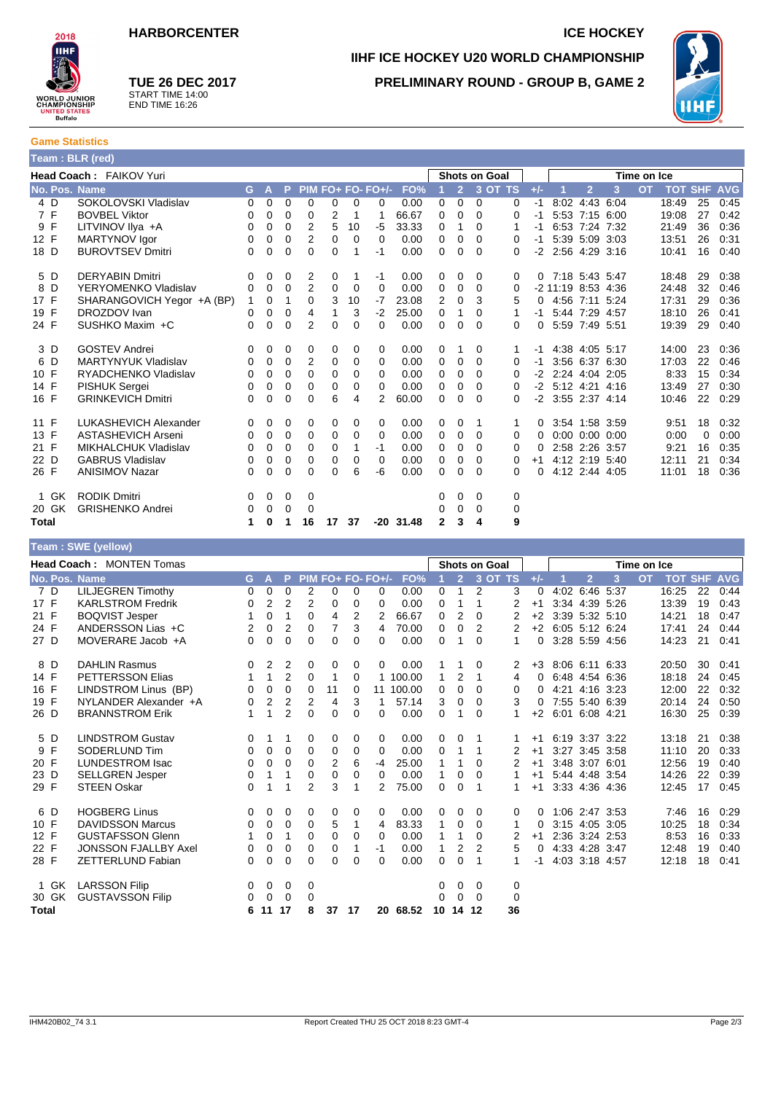

**TUE 26 DEC 2017** START TIME 14:00 END TIME 16:26

## **IIHF ICE HOCKEY U20 WORLD CHAMPIONSHIP PRELIMINARY ROUND - GROUP B, GAME 2**



**Game Statistics Team : BLR (red)**

| $ $ realled DLN (real) |                             |             |              |             |                |             |          |                   |             |                      |                |          |          |          |                      |                |           |           |            |             |            |
|------------------------|-----------------------------|-------------|--------------|-------------|----------------|-------------|----------|-------------------|-------------|----------------------|----------------|----------|----------|----------|----------------------|----------------|-----------|-----------|------------|-------------|------------|
|                        | Head Coach: FAIKOV Yuri     |             |              |             |                |             |          |                   |             | <b>Shots on Goal</b> |                |          |          |          | Time on Ice          |                |           |           |            |             |            |
| No. Pos. Name          |                             | G           | $\mathbf{A}$ | P           |                |             |          | PIM FO+ FO- FO+/- | FO%         |                      | $\overline{2}$ | 3 OT TS  |          | $+/-$    |                      | $\overline{2}$ | 3         | <b>OT</b> | <b>TOT</b> | <b>SHF</b>  | <b>AVG</b> |
| 4 D                    | SOKOLOVSKI Vladislav        | 0           | 0            | 0           | 0              | 0           | 0        | 0                 | 0.00        | 0                    | 0              | $\Omega$ | 0        | $-1$     | 8:02                 | 4:43 6:04      |           |           | 18:49      | 25          | 0:45       |
| 7 F                    | <b>BOVBEL Viktor</b>        | 0           | 0            | 0           | 0              | 2           |          | 1                 | 66.67       | 0                    | 0              | $\Omega$ | 0        | -1       |                      | 5:53 7:15 6:00 |           |           | 19:08      | 27          | 0:42       |
| 9 F                    | LITVINOV IIya +A            | 0           | 0            | 0           | 2              | 5           | 10       | -5                | 33.33       | 0                    |                | $\Omega$ | 1        | -1       | 6:53                 |                | 7:24 7:32 |           | 21:49      | 36          | 0:36       |
| 12 F                   | MARTYNOV Igor               | 0           | 0            | 0           | 2              | 0           | $\Omega$ | 0                 | 0.00        | 0                    | 0              | 0        | 0        | -1       |                      | 5:39 5:09 3:03 |           |           | 13:51      | 26          | 0:31       |
| 18 D                   | <b>BUROVTSEV Dmitri</b>     | 0           | 0            | 0           | $\Omega$       | $\Omega$    |          | -1                | 0.00        | 0                    | 0              | $\Omega$ | $\Omega$ | $-2$     |                      | 2:56 4:29 3:16 |           |           | 10:41      | 16          | 0:40       |
| 5 D                    | <b>DERYABIN Dmitri</b>      | 0           | 0            | 0           | 2              | 0           |          | $-1$              | 0.00        | 0                    | 0              | 0        | 0        | $\Omega$ |                      | 7:18 5:43 5:47 |           |           | 18:48      | 29          | 0:38       |
| 8<br>D                 | YERYOMENKO Vladislav        | 0           | 0            | 0           | 2              | 0           | 0        | 0                 | 0.00        | 0                    | 0              | 0        | 0        |          | $-2$ 11:19 8:53 4:36 |                |           |           | 24:48      | 32          | 0:46       |
| 17 F                   | SHARANGOVICH Yegor +A (BP)  | $\mathbf 1$ | 0            | 1           | 0              | 3           | 10       | $-7$              | 23.08       | 2                    | 0              | 3        | 5        | $\Omega$ |                      | 4:56 7:11 5:24 |           |           | 17:31      | 29          | 0:36       |
| 19 F                   | DROZDOV Ivan                | 0           | 0            | 0           | 4              | 1           | 3        | $-2$              | 25.00       | 0                    | 1              | 0        | 1        | -1       |                      | 5:44 7:29 4:57 |           |           | 18:10      | 26          | 0:41       |
| 24 F                   | SUSHKO Maxim +C             | 0           | 0            | $\Omega$    | 2              | $\Omega$    | 0        | 0                 | 0.00        | $\mathbf 0$          | 0              | 0        | $\Omega$ | 0        |                      | 5:59 7:49 5:51 |           |           | 19:39      | 29          | 0:40       |
| 3 D                    | <b>GOSTEV Andrei</b>        | 0           | 0            | 0           | 0              | 0           | 0        | 0                 | 0.00        | 0                    |                | 0        | 1        | -1       |                      | 4:38 4:05 5:17 |           |           | 14:00      | 23          | 0:36       |
| 6 D                    | <b>MARTYNYUK Vladislav</b>  | 0           | 0            | 0           | $\overline{2}$ | 0           | 0        | 0                 | 0.00        | 0                    | 0              | $\Omega$ | 0        | -1       |                      | 3:56 6:37 6:30 |           |           | 17:03      | 22          | 0:46       |
| 10 F                   | RYADCHENKO Vladislav        | 0           | 0            | $\mathbf 0$ | 0              | 0           | 0        | 0                 | 0.00        | $\mathbf 0$          | 0              | 0        | 0        | $-2$     | 2:24 4:04 2:05       |                |           |           | 8:33       | 15          | 0:34       |
| 14 F                   | <b>PISHUK Sergei</b>        | 0           | 0            | $\mathbf 0$ | $\mathbf 0$    | $\mathbf 0$ | 0        | 0                 | 0.00        | 0                    | 0              | 0        | 0        |          | $-2$ 5:12 4:21 4:16  |                |           |           | 13:49      | 27          | 0:30       |
| 16 F                   | <b>GRINKEVICH Dmitri</b>    | 0           | 0            | $\Omega$    | $\mathbf 0$    | 6           | 4        | 2                 | 60.00       | $\mathbf 0$          | $\Omega$       | $\Omega$ | 0        |          | $-2$ 3:55 2:37 4:14  |                |           |           | 10:46      | 22          | 0:29       |
| 11 F                   | LUKASHEVICH Alexander       | 0           | 0            | 0           | 0              | 0           | 0        | 0                 | 0.00        | 0                    | 0              |          |          | 0        |                      | 3:54 1:58 3:59 |           |           | 9:51       | 18          | 0:32       |
| 13 F                   | ASTASHEVICH Arseni          | 0           | 0            | 0           | $\mathbf 0$    | 0           | 0        | 0                 | 0.00        | 0                    | 0              | 0        | 0        | $\Omega$ | 0:00                 | 0:0000:0       |           |           | 0:00       | $\mathbf 0$ | 0:00       |
| 21 F                   | <b>MIKHALCHUK Vladislav</b> | 0           | 0            | 0           | 0              | 0           | 1        | $-1$              | 0.00        | 0                    | 0              | 0        | 0        |          |                      | 2:58 2:26 3:57 |           |           | 9:21       | 16          | 0:35       |
| 22 D                   | <b>GABRUS Vladislav</b>     | 0           | 0            | $\mathbf 0$ | $\mathbf 0$    | 0           | 0        | 0                 | 0.00        | $\mathbf 0$          | 0              | 0        | 0        | $+1$     |                      | 4:12 2:19 5:40 |           |           | 12:11      | 21          | 0:34       |
| 26 F                   | <b>ANISIMOV Nazar</b>       | 0           | 0            | $\mathbf 0$ | 0              | $\Omega$    | 6        | -6                | 0.00        | 0                    | 0              | 0        | 0        | $\Omega$ |                      | 4:12 2:44 4:05 |           |           | 11:01      | 18          | 0:36       |
| 1 GK                   | <b>RODIK Dmitri</b>         | 0           | 0            | 0           | 0              |             |          |                   |             | 0                    | 0              | 0        | 0        |          |                      |                |           |           |            |             |            |
| 20 GK                  | <b>GRISHENKO Andrei</b>     | 0           | 0            | 0           | 0              |             |          |                   |             | 0                    | 0              | 0        | 0        |          |                      |                |           |           |            |             |            |
| Total                  |                             | 1           | 0            |             | 16             | 17          | 37       |                   | $-20$ 31.48 | $\mathbf{2}$         | 3              | 4        | 9        |          |                      |                |           |           |            |             |            |

|               | Team: SWE (yellow)              |          |                |                |                |                |          |                   |        |          |                |                |              |                      |      |                |      |           |                |    |            |  |  |  |  |
|---------------|---------------------------------|----------|----------------|----------------|----------------|----------------|----------|-------------------|--------|----------|----------------|----------------|--------------|----------------------|------|----------------|------|-----------|----------------|----|------------|--|--|--|--|
|               | <b>Head Coach: MONTEN Tomas</b> |          |                |                |                |                |          |                   |        |          |                |                |              | <b>Shots on Goal</b> |      |                |      |           | Time on Ice    |    |            |  |  |  |  |
| No. Pos. Name |                                 | G.       | A              | P              |                |                |          | PIM FO+ FO- FO+/- | FO%    |          | $\overline{2}$ |                | 3 OT TS      | $+/-$                |      | $\overline{2}$ | 3    | <b>OT</b> | <b>TOT SHF</b> |    | <b>AVG</b> |  |  |  |  |
| 7 D           | <b>LILJEGREN Timothy</b>        | 0        | 0              | 0              | 2              | 0              | $\Omega$ | 0                 | 0.00   | 0        | $\mathbf{1}$   | 2              | 3            | 0                    |      | 4:02 6:46 5:37 |      |           | 16:25          | 22 | 0:44       |  |  |  |  |
| 17 F          | <b>KARLSTROM Fredrik</b>        | 0        | $\overline{2}$ | $\overline{2}$ | 2              | 0              | 0        | 0                 | 0.00   | 0        | 1              | 1              | 2            | $+1$                 |      | 3:34 4:39 5:26 |      |           | 13:39          | 19 | 0:43       |  |  |  |  |
| 21 F          | <b>BOQVIST Jesper</b>           | 1        | 0              | 1              | 0              | 4              | 2        | 2                 | 66.67  | 0        | 2              | $\Omega$       | 2            | $+2$                 |      | 3:39 5:32 5:10 |      |           | 14:21          | 18 | 0:47       |  |  |  |  |
| 24 F          | ANDERSSON Lias +C               | 2        | 0              | 2              | 0              | 7              | 3        | 4                 | 70.00  | 0        | 0              | 2              | 2            | $+2$                 |      | 6:05 5:12 6:24 |      |           | 17:41          | 24 | 0:44       |  |  |  |  |
| 27 D          | MOVERARE Jacob +A               | 0        | $\mathbf 0$    | $\mathbf 0$    | 0              | 0              | 0        | 0                 | 0.00   | 0        | 1              | $\Omega$       | $\mathbf{1}$ | 0                    |      | 3:28 5:59 4:56 |      |           | 14:23          | 21 | 0:41       |  |  |  |  |
| 8 D           | <b>DAHLIN Rasmus</b>            | 0        | 2              | $\overline{2}$ | 0              | 0              | 0        | 0                 | 0.00   |          |                | 0              | 2            | $+3$                 |      | 8:06 6:11 6:33 |      |           | 20:50          | 30 | 0:41       |  |  |  |  |
| 14 F          | <b>PETTERSSON Elias</b>         | 1        | $\mathbf{1}$   | $\overline{2}$ | 0              | 1              | 0        | $\mathbf{1}$      | 100.00 | 1        | 2              | 1              | 4            | 0                    |      | 6:48 4:54 6:36 |      |           | 18:18          | 24 | 0:45       |  |  |  |  |
| 16 F          | LINDSTROM Linus (BP)            | 0        | $\mathbf 0$    | 0              | 0              | 11             | 0        | 11                | 100.00 | 0        | 0              | 0              | 0            | 0                    | 4:21 | 4:16           | 3:23 |           | 12:00          | 22 | 0:32       |  |  |  |  |
| 19 F          | NYLANDER Alexander +A           | 0        | $\overline{2}$ | $\overline{2}$ | 2              | 4              | 3        | 1                 | 57.14  | 3        | 0              | 0              | 3            | $\Omega$             |      | 7:55 5:40 6:39 |      |           | 20:14          | 24 | 0:50       |  |  |  |  |
| 26 D          | <b>BRANNSTROM Erik</b>          | 1        | 1              | $\overline{2}$ | $\overline{0}$ | $\overline{0}$ | $\Omega$ | 0                 | 0.00   | $\Omega$ | 1              | $\Omega$       | 1            | $+2$                 |      | 6:01 6:08 4:21 |      |           | 16:30          | 25 | 0:39       |  |  |  |  |
| 5 D           | <b>LINDSTROM Gustav</b>         | 0        | 1              | 1              | 0              | 0              | 0        | 0                 | 0.00   | 0        | 0              | 1              |              | $+1$                 |      | 6:19 3:37 3:22 |      |           | 13:18          | 21 | 0:38       |  |  |  |  |
| 9 F           | SODERLUND Tim                   | $\Omega$ | 0              | 0              | 0              | 0              | 0        | 0                 | 0.00   | 0        | 1              | 1              | 2            | $+1$                 |      | 3:27 3:45 3:58 |      |           | 11:10          | 20 | 0:33       |  |  |  |  |
| 20 F          | <b>LUNDESTROM Isac</b>          | 0        | 0              | $\mathbf 0$    | 0              | 2              | 6        | $-4$              | 25.00  | 1        |                | 0              | 2            | $+1$                 |      | 3:48 3:07 6:01 |      |           | 12:56          | 19 | 0:40       |  |  |  |  |
| 23 D          | <b>SELLGREN Jesper</b>          | 0        | 1              | 1              | 0              | 0              | 0        | 0                 | 0.00   | 1        | 0              | 0              |              | $+1$                 |      | 5:44 4:48 3:54 |      |           | 14:26          | 22 | 0:39       |  |  |  |  |
| 29 F          | <b>STEEN Oskar</b>              | $\Omega$ |                |                | $\overline{2}$ | 3              | 1        | 2                 | 75.00  | 0        | 0              |                |              | $+1$                 |      | 3:33 4:36 4:36 |      |           | 12:45          | 17 | 0:45       |  |  |  |  |
| 6 D           | <b>HOGBERG Linus</b>            | 0        | 0              | 0              | 0              | 0              | 0        | 0                 | 0.00   | 0        | 0              | 0              | 0            | 0                    |      | 1:06 2:47 3:53 |      |           | 7:46           | 16 | 0:29       |  |  |  |  |
| 10 F          | <b>DAVIDSSON Marcus</b>         | 0        | 0              | $\mathbf 0$    | 0              | 5              | 1        | 4                 | 83.33  | 1        | 0              | 0              | 1            | 0                    |      | 3:15 4:05 3:05 |      |           | 10:25          | 18 | 0:34       |  |  |  |  |
| 12 F          | <b>GUSTAFSSON Glenn</b>         | 1        | 0              | 1              | $\Omega$       | 0              | $\Omega$ | 0                 | 0.00   | 1        | 1              | 0              | 2            | $+1$                 |      | 2:36 3:24 2:53 |      |           | 8:53           | 16 | 0:33       |  |  |  |  |
| 22 F          | <b>JONSSON FJALLBY Axel</b>     | 0        | 0              | $\Omega$       | $\Omega$       | 0              |          | -1                | 0.00   | 1        | 2              | $\overline{2}$ | 5            | $\Omega$             |      | 4:33 4:28 3:47 |      |           | 12:48          | 19 | 0:40       |  |  |  |  |
| 28 F          | <b>ZETTERLUND Fabian</b>        | 0        | $\Omega$       | $\Omega$       | $\Omega$       | 0              | 0        | 0                 | 0.00   | $\Omega$ | $\Omega$       | 1              | 1            | -1                   |      | 4:03 3:18 4:57 |      |           | 12:18          | 18 | 0:41       |  |  |  |  |
| 1 GK          | <b>LARSSON Filip</b>            | 0        | 0              | 0              | 0              |                |          |                   |        | $\Omega$ | 0              | 0              | 0            |                      |      |                |      |           |                |    |            |  |  |  |  |
| 30 GK         | <b>GUSTAVSSON Filip</b>         | 0        | 0              | 0              | 0              |                |          |                   |        | 0        | $\mathbf 0$    | 0              | 0            |                      |      |                |      |           |                |    |            |  |  |  |  |
| Total         |                                 | 6        | 11             | 17             | 8              | 37             | 17       | 20                | 68.52  | 10       | 14             | 12             | 36           |                      |      |                |      |           |                |    |            |  |  |  |  |